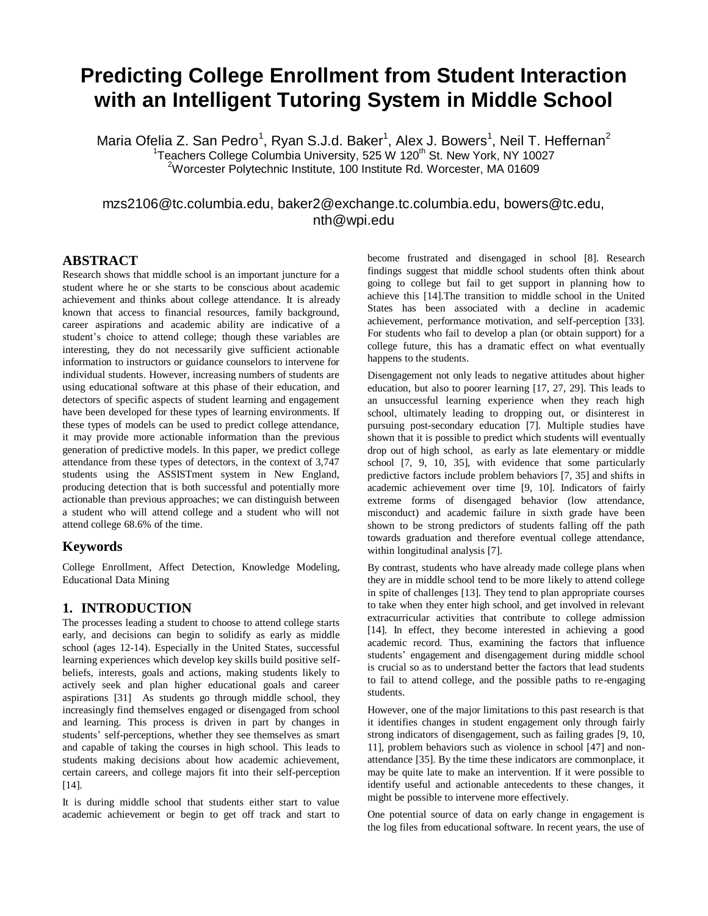# **Predicting College Enrollment from Student Interaction with an Intelligent Tutoring System in Middle School**

Maria Ofelia Z. San Pedro $^1$ , Ryan S.J.d. Baker $^1$ , Alex J. Bowers $^1$ , Neil T. Heffernan $^2$ <sup>1</sup> Teachers College Columbia University, 525 W 120<sup>th</sup> St. New York, NY 10027  $2$ Worcester Polytechnic Institute, 100 Institute Rd. Worcester, MA 01609

## mzs2106@tc.columbia.edu, baker2@exchange.tc.columbia.edu, bowers@tc.edu, nth@wpi.edu

## **ABSTRACT**

Research shows that middle school is an important juncture for a student where he or she starts to be conscious about academic achievement and thinks about college attendance. It is already known that access to financial resources, family background, career aspirations and academic ability are indicative of a student's choice to attend college; though these variables are interesting, they do not necessarily give sufficient actionable information to instructors or guidance counselors to intervene for individual students. However, increasing numbers of students are using educational software at this phase of their education, and detectors of specific aspects of student learning and engagement have been developed for these types of learning environments. If these types of models can be used to predict college attendance, it may provide more actionable information than the previous generation of predictive models. In this paper, we predict college attendance from these types of detectors, in the context of 3,747 students using the ASSISTment system in New England, producing detection that is both successful and potentially more actionable than previous approaches; we can distinguish between a student who will attend college and a student who will not attend college 68.6% of the time.

## **Keywords**

College Enrollment, Affect Detection, Knowledge Modeling, Educational Data Mining

#### **1. INTRODUCTION**

The processes leading a student to choose to attend college starts early, and decisions can begin to solidify as early as middle school (ages 12-14). Especially in the United States, successful learning experiences which develop key skills build positive selfbeliefs, interests, goals and actions, making students likely to actively seek and plan higher educational goals and career aspirations [31] As students go through middle school, they increasingly find themselves engaged or disengaged from school and learning. This process is driven in part by changes in students' self-perceptions, whether they see themselves as smart and capable of taking the courses in high school. This leads to students making decisions about how academic achievement, certain careers, and college majors fit into their self-perception [14].

It is during middle school that students either start to value academic achievement or begin to get off track and start to become frustrated and disengaged in school [8]. Research findings suggest that middle school students often think about going to college but fail to get support in planning how to achieve this [14].The transition to middle school in the United States has been associated with a decline in academic achievement, performance motivation, and self-perception [33]. For students who fail to develop a plan (or obtain support) for a college future, this has a dramatic effect on what eventually happens to the students.

Disengagement not only leads to negative attitudes about higher education, but also to poorer learning [17, 27, 29]. This leads to an unsuccessful learning experience when they reach high school, ultimately leading to dropping out, or disinterest in pursuing post-secondary education [7]. Multiple studies have shown that it is possible to predict which students will eventually drop out of high school, as early as late elementary or middle school [7, 9, 10, 35], with evidence that some particularly predictive factors include problem behaviors [7, 35] and shifts in academic achievement over time [9, 10]. Indicators of fairly extreme forms of disengaged behavior (low attendance, misconduct) and academic failure in sixth grade have been shown to be strong predictors of students falling off the path towards graduation and therefore eventual college attendance, within longitudinal analysis [7].

By contrast, students who have already made college plans when they are in middle school tend to be more likely to attend college in spite of challenges [13]. They tend to plan appropriate courses to take when they enter high school, and get involved in relevant extracurricular activities that contribute to college admission [14]. In effect, they become interested in achieving a good academic record. Thus, examining the factors that influence students' engagement and disengagement during middle school is crucial so as to understand better the factors that lead students to fail to attend college, and the possible paths to re-engaging students.

However, one of the major limitations to this past research is that it identifies changes in student engagement only through fairly strong indicators of disengagement, such as failing grades [9, 10, 11], problem behaviors such as violence in school [47] and nonattendance [35]. By the time these indicators are commonplace, it may be quite late to make an intervention. If it were possible to identify useful and actionable antecedents to these changes, it might be possible to intervene more effectively.

One potential source of data on early change in engagement is the log files from educational software. In recent years, the use of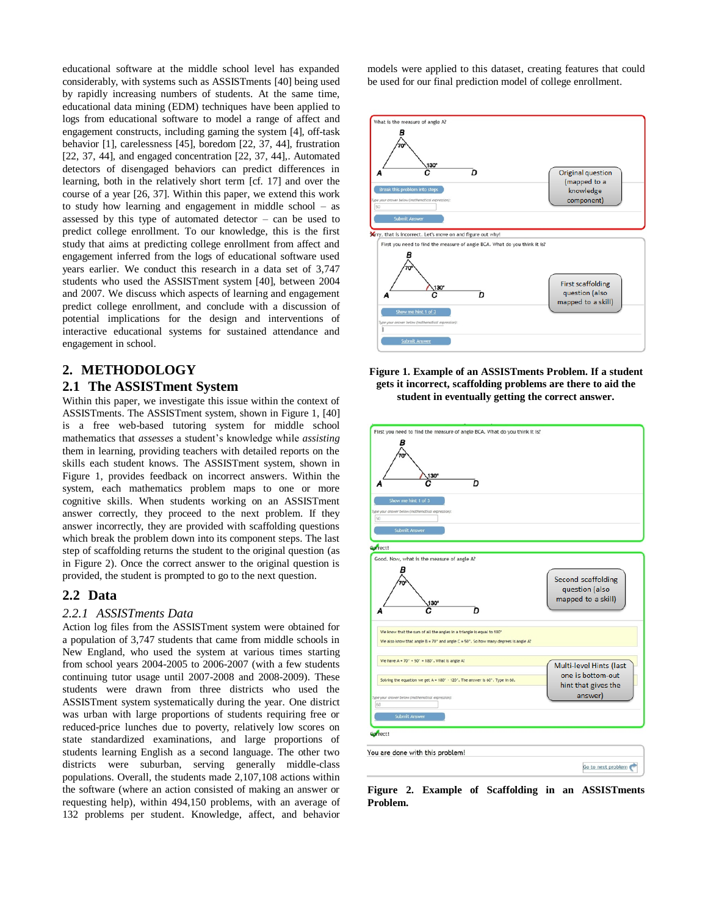educational software at the middle school level has expanded considerably, with systems such as ASSISTments [40] being used by rapidly increasing numbers of students. At the same time, educational data mining (EDM) techniques have been applied to logs from educational software to model a range of affect and engagement constructs, including gaming the system [4], off-task behavior [1], carelessness [45], boredom [22, 37, 44], frustration [22, 37, 44], and engaged concentration [22, 37, 44],. Automated detectors of disengaged behaviors can predict differences in learning, both in the relatively short term [cf. 17] and over the course of a year [26, 37]. Within this paper, we extend this work to study how learning and engagement in middle school – as assessed by this type of automated detector – can be used to predict college enrollment. To our knowledge, this is the first study that aims at predicting college enrollment from affect and engagement inferred from the logs of educational software used years earlier. We conduct this research in a data set of 3,747 students who used the ASSISTment system [40], between 2004 and 2007. We discuss which aspects of learning and engagement predict college enrollment, and conclude with a discussion of potential implications for the design and interventions of interactive educational systems for sustained attendance and engagement in school.

## **2. METHODOLOGY**

#### **2.1 The ASSISTment System**

Within this paper, we investigate this issue within the context of ASSISTments. The ASSISTment system, shown in Figure 1, [40] is a free web-based tutoring system for middle school mathematics that *assesses* a student's knowledge while *assisting* them in learning, providing teachers with detailed reports on the skills each student knows. The ASSISTment system, shown in Figure 1, provides feedback on incorrect answers. Within the system, each mathematics problem maps to one or more cognitive skills. When students working on an ASSISTment answer correctly, they proceed to the next problem. If they answer incorrectly, they are provided with scaffolding questions which break the problem down into its component steps. The last step of scaffolding returns the student to the original question (as in Figure 2). Once the correct answer to the original question is provided, the student is prompted to go to the next question.

#### **2.2 Data**

#### *2.2.1 ASSISTments Data*

Action log files from the ASSISTment system were obtained for a population of 3,747 students that came from middle schools in New England, who used the system at various times starting from school years 2004-2005 to 2006-2007 (with a few students continuing tutor usage until 2007-2008 and 2008-2009). These students were drawn from three districts who used the ASSISTment system systematically during the year. One district was urban with large proportions of students requiring free or reduced-price lunches due to poverty, relatively low scores on state standardized examinations, and large proportions of students learning English as a second language. The other two districts were suburban, serving generally middle-class populations. Overall, the students made 2,107,108 actions within the software (where an action consisted of making an answer or requesting help), within 494,150 problems, with an average of 132 problems per student. Knowledge, affect, and behavior

models were applied to this dataset, creating features that could be used for our final prediction model of college enrollment.







**Figure 2. Example of Scaffolding in an ASSISTments Problem.**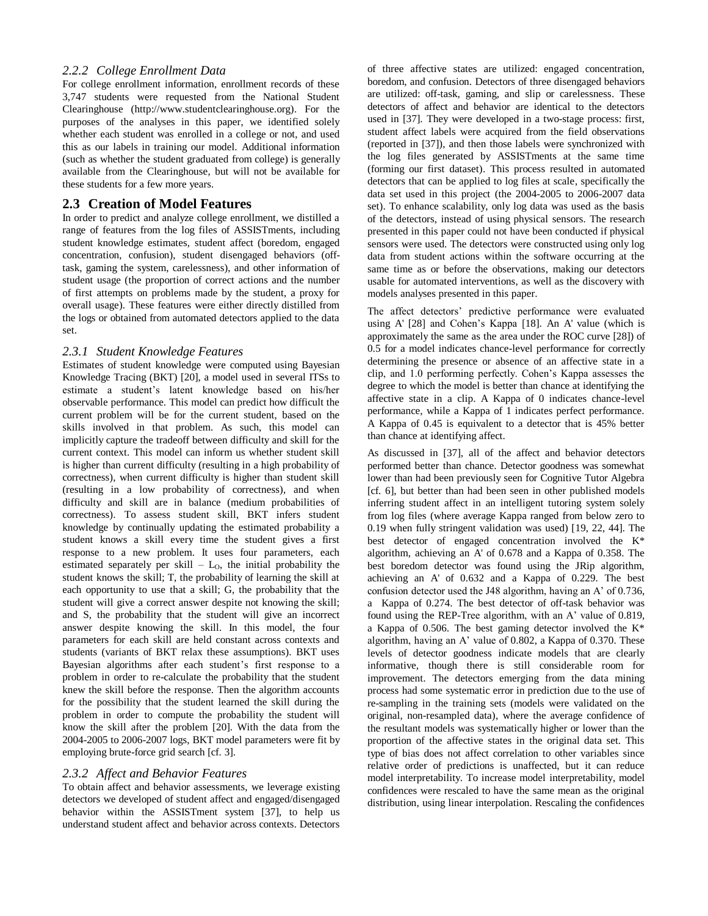## *2.2.2 College Enrollment Data*

For college enrollment information, enrollment records of these 3,747 students were requested from the National Student Clearinghouse (http://www.studentclearinghouse.org). For the purposes of the analyses in this paper, we identified solely whether each student was enrolled in a college or not, and used this as our labels in training our model. Additional information (such as whether the student graduated from college) is generally available from the Clearinghouse, but will not be available for these students for a few more years.

## **2.3 Creation of Model Features**

In order to predict and analyze college enrollment, we distilled a range of features from the log files of ASSISTments, including student knowledge estimates, student affect (boredom, engaged concentration, confusion), student disengaged behaviors (offtask, gaming the system, carelessness), and other information of student usage (the proportion of correct actions and the number of first attempts on problems made by the student, a proxy for overall usage). These features were either directly distilled from the logs or obtained from automated detectors applied to the data set.

#### *2.3.1 Student Knowledge Features*

Estimates of student knowledge were computed using Bayesian Knowledge Tracing (BKT) [20], a model used in several ITSs to estimate a student's latent knowledge based on his/her observable performance. This model can predict how difficult the current problem will be for the current student, based on the skills involved in that problem. As such, this model can implicitly capture the tradeoff between difficulty and skill for the current context. This model can inform us whether student skill is higher than current difficulty (resulting in a high probability of correctness), when current difficulty is higher than student skill (resulting in a low probability of correctness), and when difficulty and skill are in balance (medium probabilities of correctness). To assess student skill, BKT infers student knowledge by continually updating the estimated probability a student knows a skill every time the student gives a first response to a new problem. It uses four parameters, each estimated separately per skill  $-$  L<sub>O</sub>, the initial probability the student knows the skill; T, the probability of learning the skill at each opportunity to use that a skill; G, the probability that the student will give a correct answer despite not knowing the skill; and S, the probability that the student will give an incorrect answer despite knowing the skill. In this model, the four parameters for each skill are held constant across contexts and students (variants of BKT relax these assumptions). BKT uses Bayesian algorithms after each student's first response to a problem in order to re-calculate the probability that the student knew the skill before the response. Then the algorithm accounts for the possibility that the student learned the skill during the problem in order to compute the probability the student will know the skill after the problem [20]. With the data from the 2004-2005 to 2006-2007 logs, BKT model parameters were fit by employing brute-force grid search [cf. 3].

## *2.3.2 Affect and Behavior Features*

To obtain affect and behavior assessments, we leverage existing detectors we developed of student affect and engaged/disengaged behavior within the ASSISTment system [37], to help us understand student affect and behavior across contexts. Detectors

of three affective states are utilized: engaged concentration, boredom, and confusion. Detectors of three disengaged behaviors are utilized: off-task, gaming, and slip or carelessness. These detectors of affect and behavior are identical to the detectors used in [37]. They were developed in a two-stage process: first, student affect labels were acquired from the field observations (reported in [37]), and then those labels were synchronized with the log files generated by ASSISTments at the same time (forming our first dataset). This process resulted in automated detectors that can be applied to log files at scale, specifically the data set used in this project (the 2004-2005 to 2006-2007 data set). To enhance scalability, only log data was used as the basis of the detectors, instead of using physical sensors. The research presented in this paper could not have been conducted if physical sensors were used. The detectors were constructed using only log data from student actions within the software occurring at the same time as or before the observations, making our detectors usable for automated interventions, as well as the discovery with models analyses presented in this paper.

The affect detectors' predictive performance were evaluated using A' [28] and Cohen's Kappa [18]. An A' value (which is approximately the same as the area under the ROC curve [28]) of 0.5 for a model indicates chance-level performance for correctly determining the presence or absence of an affective state in a clip, and 1.0 performing perfectly. Cohen's Kappa assesses the degree to which the model is better than chance at identifying the affective state in a clip. A Kappa of 0 indicates chance-level performance, while a Kappa of 1 indicates perfect performance. A Kappa of 0.45 is equivalent to a detector that is 45% better than chance at identifying affect.

As discussed in [37], all of the affect and behavior detectors performed better than chance. Detector goodness was somewhat lower than had been previously seen for Cognitive Tutor Algebra [cf. 6], but better than had been seen in other published models inferring student affect in an intelligent tutoring system solely from log files (where average Kappa ranged from below zero to 0.19 when fully stringent validation was used) [19, 22, 44]. The best detector of engaged concentration involved the K\* algorithm, achieving an A' of 0.678 and a Kappa of 0.358. The best boredom detector was found using the JRip algorithm, achieving an A' of 0.632 and a Kappa of 0.229. The best confusion detector used the J48 algorithm, having an A' of 0.736, a Kappa of 0.274. The best detector of off-task behavior was found using the REP-Tree algorithm, with an A' value of 0.819, a Kappa of 0.506. The best gaming detector involved the K\* algorithm, having an A' value of 0.802, a Kappa of 0.370. These levels of detector goodness indicate models that are clearly informative, though there is still considerable room for improvement. The detectors emerging from the data mining process had some systematic error in prediction due to the use of re-sampling in the training sets (models were validated on the original, non-resampled data), where the average confidence of the resultant models was systematically higher or lower than the proportion of the affective states in the original data set. This type of bias does not affect correlation to other variables since relative order of predictions is unaffected, but it can reduce model interpretability. To increase model interpretability, model confidences were rescaled to have the same mean as the original distribution, using linear interpolation. Rescaling the confidences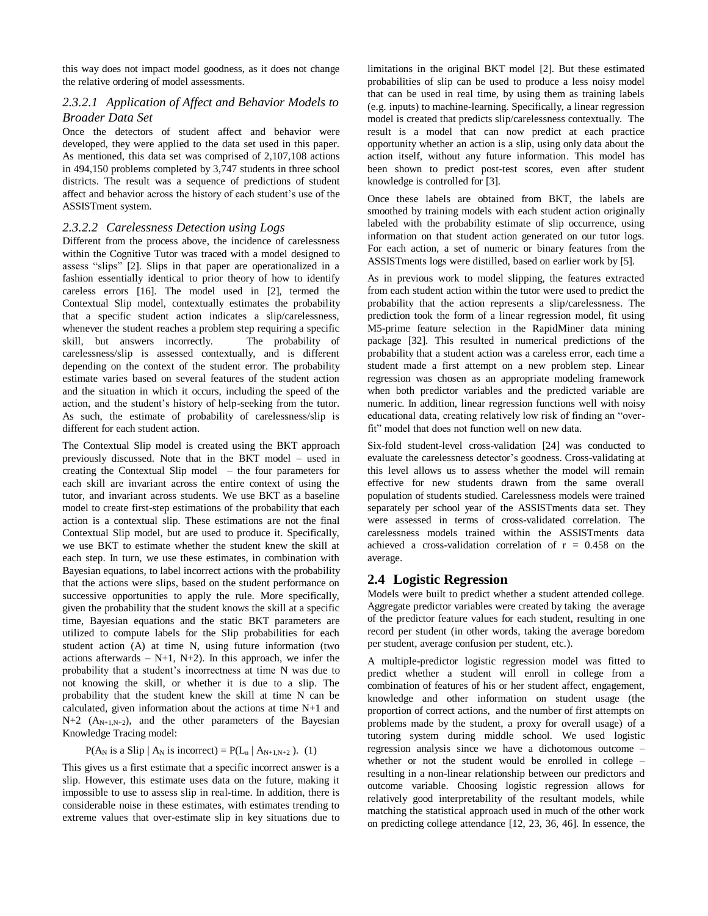this way does not impact model goodness, as it does not change the relative ordering of model assessments.

## *2.3.2.1 Application of Affect and Behavior Models to Broader Data Set*

Once the detectors of student affect and behavior were developed, they were applied to the data set used in this paper. As mentioned, this data set was comprised of 2,107,108 actions in 494,150 problems completed by 3,747 students in three school districts. The result was a sequence of predictions of student affect and behavior across the history of each student's use of the ASSISTment system.

#### *2.3.2.2 Carelessness Detection using Logs*

Different from the process above, the incidence of carelessness within the Cognitive Tutor was traced with a model designed to assess "slips" [2]. Slips in that paper are operationalized in a fashion essentially identical to prior theory of how to identify careless errors [16]. The model used in [2], termed the Contextual Slip model, contextually estimates the probability that a specific student action indicates a slip/carelessness, whenever the student reaches a problem step requiring a specific skill, but answers incorrectly. The probability of carelessness/slip is assessed contextually, and is different depending on the context of the student error. The probability estimate varies based on several features of the student action and the situation in which it occurs, including the speed of the action, and the student's history of help-seeking from the tutor. As such, the estimate of probability of carelessness/slip is different for each student action.

The Contextual Slip model is created using the BKT approach previously discussed. Note that in the BKT model – used in creating the Contextual Slip model – the four parameters for each skill are invariant across the entire context of using the tutor, and invariant across students. We use BKT as a baseline model to create first-step estimations of the probability that each action is a contextual slip. These estimations are not the final Contextual Slip model, but are used to produce it. Specifically, we use BKT to estimate whether the student knew the skill at each step. In turn, we use these estimates, in combination with Bayesian equations, to label incorrect actions with the probability that the actions were slips, based on the student performance on successive opportunities to apply the rule. More specifically, given the probability that the student knows the skill at a specific time, Bayesian equations and the static BKT parameters are utilized to compute labels for the Slip probabilities for each student action (A) at time N, using future information (two actions afterwards –  $N+1$ ,  $N+2$ ). In this approach, we infer the probability that a student's incorrectness at time N was due to not knowing the skill, or whether it is due to a slip. The probability that the student knew the skill at time N can be calculated, given information about the actions at time N+1 and  $N+2$  ( $A_{N+1,N+2}$ ), and the other parameters of the Bayesian Knowledge Tracing model:

 $P(A_N \text{ is a Slip } | A_N \text{ is incorrect}) = P(L_n | A_{N+1,N+2}).$  (1)

This gives us a first estimate that a specific incorrect answer is a slip. However, this estimate uses data on the future, making it impossible to use to assess slip in real-time. In addition, there is considerable noise in these estimates, with estimates trending to extreme values that over-estimate slip in key situations due to limitations in the original BKT model [2]. But these estimated probabilities of slip can be used to produce a less noisy model that can be used in real time, by using them as training labels (e.g. inputs) to machine-learning. Specifically, a linear regression model is created that predicts slip/carelessness contextually. The result is a model that can now predict at each practice opportunity whether an action is a slip, using only data about the action itself, without any future information. This model has been shown to predict post-test scores, even after student knowledge is controlled for [3].

Once these labels are obtained from BKT, the labels are smoothed by training models with each student action originally labeled with the probability estimate of slip occurrence, using information on that student action generated on our tutor logs. For each action, a set of numeric or binary features from the ASSISTments logs were distilled, based on earlier work by [5].

As in previous work to model slipping, the features extracted from each student action within the tutor were used to predict the probability that the action represents a slip/carelessness. The prediction took the form of a linear regression model, fit using M5-prime feature selection in the RapidMiner data mining package [32]. This resulted in numerical predictions of the probability that a student action was a careless error, each time a student made a first attempt on a new problem step. Linear regression was chosen as an appropriate modeling framework when both predictor variables and the predicted variable are numeric. In addition, linear regression functions well with noisy educational data, creating relatively low risk of finding an "overfit" model that does not function well on new data.

Six-fold student-level cross-validation [24] was conducted to evaluate the carelessness detector's goodness. Cross-validating at this level allows us to assess whether the model will remain effective for new students drawn from the same overall population of students studied. Carelessness models were trained separately per school year of the ASSISTments data set. They were assessed in terms of cross-validated correlation. The carelessness models trained within the ASSISTments data achieved a cross-validation correlation of  $r = 0.458$  on the average.

## **2.4 Logistic Regression**

Models were built to predict whether a student attended college. Aggregate predictor variables were created by taking the average of the predictor feature values for each student, resulting in one record per student (in other words, taking the average boredom per student, average confusion per student, etc.).

A multiple-predictor logistic regression model was fitted to predict whether a student will enroll in college from a combination of features of his or her student affect, engagement, knowledge and other information on student usage (the proportion of correct actions, and the number of first attempts on problems made by the student, a proxy for overall usage) of a tutoring system during middle school. We used logistic regression analysis since we have a dichotomous outcome – whether or not the student would be enrolled in college – resulting in a non-linear relationship between our predictors and outcome variable. Choosing logistic regression allows for relatively good interpretability of the resultant models, while matching the statistical approach used in much of the other work on predicting college attendance [12, 23, 36, 46]. In essence, the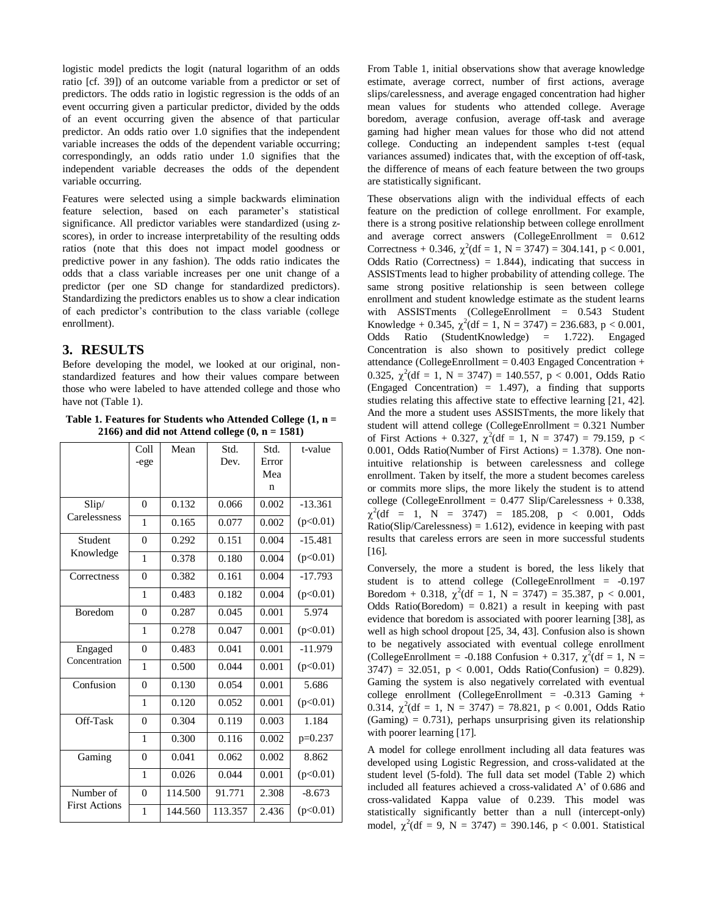logistic model predicts the logit (natural logarithm of an odds ratio [cf. 39]) of an outcome variable from a predictor or set of predictors. The odds ratio in logistic regression is the odds of an event occurring given a particular predictor, divided by the odds of an event occurring given the absence of that particular predictor. An odds ratio over 1.0 signifies that the independent variable increases the odds of the dependent variable occurring; correspondingly, an odds ratio under 1.0 signifies that the independent variable decreases the odds of the dependent variable occurring.

Features were selected using a simple backwards elimination feature selection, based on each parameter's statistical significance. All predictor variables were standardized (using zscores), in order to increase interpretability of the resulting odds ratios (note that this does not impact model goodness or predictive power in any fashion). The odds ratio indicates the odds that a class variable increases per one unit change of a predictor (per one SD change for standardized predictors). Standardizing the predictors enables us to show a clear indication of each predictor's contribution to the class variable (college enrollment).

## **3. RESULTS**

Before developing the model, we looked at our original, nonstandardized features and how their values compare between those who were labeled to have attended college and those who have not (Table 1).

**Table 1. Features for Students who Attended College (1, n = 2166) and did not Attend college (0, n = 1581)**

|                      | Coll<br>-ege   | Mean    | Std.<br>Dev. | Std.<br>Error<br>Mea<br>n | t-value   |
|----------------------|----------------|---------|--------------|---------------------------|-----------|
| Slip/                | $\theta$       | 0.132   | 0.066        | 0.002                     | $-13.361$ |
| Carelessness         | $\mathbf{1}$   | 0.165   | 0.077        | 0.002                     | (p<0.01)  |
| Student<br>Knowledge | 0              | 0.292   | 0.151        | 0.004                     | $-15.481$ |
|                      | $\mathbf{1}$   | 0.378   | 0.180        | 0.004                     | (p<0.01)  |
| Correctness          | 0              | 0.382   | 0.161        | 0.004                     | $-17.793$ |
|                      | $\mathbf{1}$   | 0.483   | 0.182        | 0.004                     | (p<0.01)  |
| <b>Boredom</b>       | $\theta$       | 0.287   | 0.045        | 0.001                     | 5.974     |
|                      | 1              | 0.278   | 0.047        | 0.001                     | (p<0.01)  |
| Engaged              | $\theta$       | 0.483   | 0.041        | 0.001                     | $-11.979$ |
| Concentration        | 1              | 0.500   | 0.044        | 0.001                     | (p<0.01)  |
| Confusion            | $\theta$       | 0.130   | 0.054        | 0.001                     | 5.686     |
|                      | 1              | 0.120   | 0.052        | 0.001                     | (p<0.01)  |
| Off-Task             | $\theta$       | 0.304   | 0.119        | 0.003                     | 1.184     |
|                      | 1              | 0.300   | 0.116        | 0.002                     | $p=0.237$ |
| Gaming               | $\overline{0}$ | 0.041   | 0.062        | 0.002                     | 8.862     |
|                      | 1              | 0.026   | 0.044        | 0.001                     | (p<0.01)  |
| Number of            | $\overline{0}$ | 114.500 | 91.771       | 2.308                     | $-8.673$  |
| <b>First Actions</b> | $\mathbf{1}$   | 144.560 | 113.357      | 2.436                     | (p<0.01)  |

From Table 1, initial observations show that average knowledge estimate, average correct, number of first actions, average slips/carelessness, and average engaged concentration had higher mean values for students who attended college. Average boredom, average confusion, average off-task and average gaming had higher mean values for those who did not attend college. Conducting an independent samples t-test (equal variances assumed) indicates that, with the exception of off-task, the difference of means of each feature between the two groups are statistically significant.

These observations align with the individual effects of each feature on the prediction of college enrollment. For example, there is a strong positive relationship between college enrollment and average correct answers (CollegeEnrollment = 0.612 Correctness + 0.346,  $\chi^2$ (df = 1, N = 3747) = 304.141, p < 0.001, Odds Ratio (Correctness)  $= 1.844$ ), indicating that success in ASSISTments lead to higher probability of attending college. The same strong positive relationship is seen between college enrollment and student knowledge estimate as the student learns with ASSISTments (CollegeEnrollment = 0.543 Student Knowledge + 0.345,  $\chi^2$ (df = 1, N = 3747) = 236.683, p < 0.001, Odds Ratio (StudentKnowledge) = 1.722). Engaged Concentration is also shown to positively predict college attendance (CollegeEnrollment = 0.403 Engaged Concentration + 0.325,  $\chi^2$ (df = 1, N = 3747) = 140.557, p < 0.001, Odds Ratio (Engaged Concentration)  $= 1.497$ ), a finding that supports studies relating this affective state to effective learning [21, 42]. And the more a student uses ASSISTments, the more likely that student will attend college (CollegeEnrollment = 0.321 Number of First Actions + 0.327,  $\chi^2$ (df = 1, N = 3747) = 79.159, p < 0.001, Odds Ratio(Number of First Actions) =  $1.378$ ). One nonintuitive relationship is between carelessness and college enrollment. Taken by itself, the more a student becomes careless or commits more slips, the more likely the student is to attend college (CollegeEnrollment =  $0.477$  Slip/Carelessness + 0.338,  $\chi^2$ (df = 1, N = 3747) = 185.208, p < 0.001, Odds  $Ratio(Slip/Carelessness) = 1.612$ , evidence in keeping with past results that careless errors are seen in more successful students [16].

Conversely, the more a student is bored, the less likely that student is to attend college (CollegeEnrollment = -0.197 Boredom + 0.318,  $\chi^2$ (df = 1, N = 3747) = 35.387, p < 0.001, Odds Ratio(Boredom) =  $0.821$ ) a result in keeping with past evidence that boredom is associated with poorer learning [38], as well as high school dropout [25, 34, 43]. Confusion also is shown to be negatively associated with eventual college enrollment (CollegeEnrollment = -0.188 Confusion + 0.317,  $\chi^2$ (df = 1, N =  $3747$ ) = 32.051, p < 0.001, Odds Ratio(Confusion) = 0.829). Gaming the system is also negatively correlated with eventual college enrollment (CollegeEnrollment =  $-0.313$  Gaming + 0.314,  $\chi^2$ (df = 1, N = 3747) = 78.821, p < 0.001, Odds Ratio  $(Gaming) = 0.731$ , perhaps unsurprising given its relationship with poorer learning [17].

A model for college enrollment including all data features was developed using Logistic Regression, and cross-validated at the student level (5-fold). The full data set model (Table 2) which included all features achieved a cross-validated A' of 0.686 and cross-validated Kappa value of 0.239. This model was statistically significantly better than a null (intercept-only) model,  $\chi^2$ (df = 9, N = 3747) = 390.146, p < 0.001. Statistical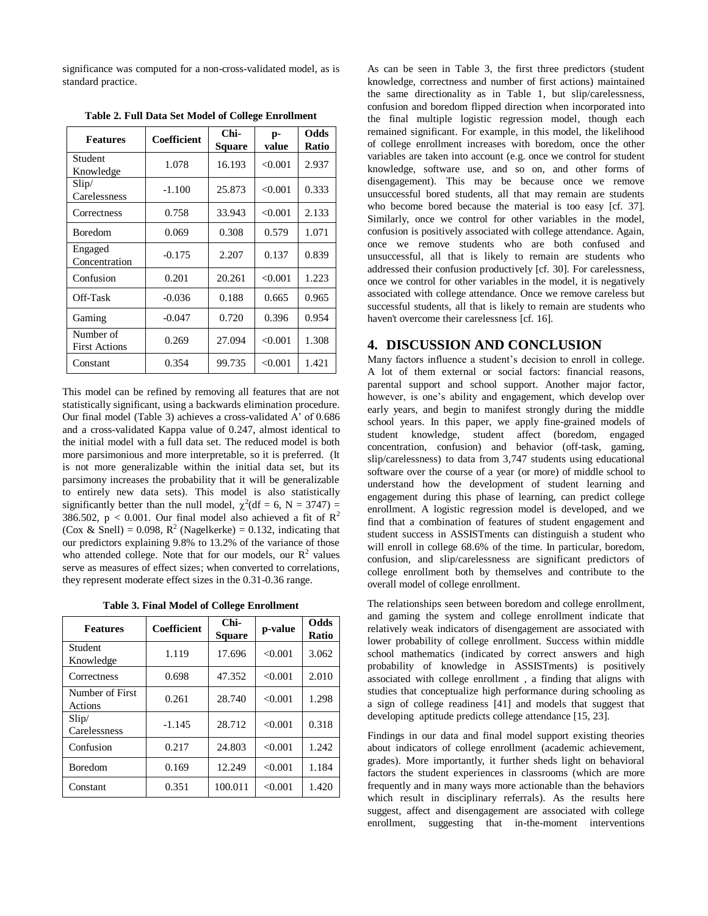significance was computed for a non-cross-validated model, as is standard practice.

| <b>Features</b>                   | Coefficient | Chi-                    | p-<br>value | Odds<br>Ratio |
|-----------------------------------|-------------|-------------------------|-------------|---------------|
| Student<br>Knowledge              | 1.078       | <b>Square</b><br>16.193 | < 0.001     | 2.937         |
| Slip/<br>Carelessness             | $-1.100$    | 25.873                  | < 0.001     | 0.333         |
| Correctness                       | 0.758       | 33.943                  | < 0.001     | 2.133         |
| <b>Boredom</b>                    | 0.069       | 0.308                   | 0.579       | 1.071         |
| Engaged<br>Concentration          | $-0.175$    | 2.207                   | 0.137       | 0.839         |
| Confusion                         | 0.201       | 20.261                  | < 0.001     | 1.223         |
| Off-Task                          | $-0.036$    | 0.188                   | 0.665       | 0.965         |
| Gaming                            | $-0.047$    | 0.720                   | 0.396       | 0.954         |
| Number of<br><b>First Actions</b> | 0.269       | 27.094                  | < 0.001     | 1.308         |
| Constant                          | 0.354       | 99.735                  | < 0.001     | 1.421         |

**Table 2. Full Data Set Model of College Enrollment**

This model can be refined by removing all features that are not statistically significant, using a backwards elimination procedure. Our final model (Table 3) achieves a cross-validated A' of 0.686 and a cross-validated Kappa value of 0.247, almost identical to the initial model with a full data set. The reduced model is both more parsimonious and more interpretable, so it is preferred. (It is not more generalizable within the initial data set, but its parsimony increases the probability that it will be generalizable to entirely new data sets). This model is also statistically significantly better than the null model,  $\chi^2$ (df = 6, N = 3747) = 386.502, p < 0.001. Our final model also achieved a fit of  $R^2$ (Cox & Snell) = 0.098,  $R^2$  (Nagelkerke) = 0.132, indicating that our predictors explaining 9.8% to 13.2% of the variance of those who attended college. Note that for our models, our  $\mathbb{R}^2$  values serve as measures of effect sizes; when converted to correlations, they represent moderate effect sizes in the 0.31-0.36 range.

**Table 3. Final Model of College Enrollment**

| <b>Features</b>            | Coefficient | Chi-<br>Square | p-value | <b>Odds</b><br>Ratio |
|----------------------------|-------------|----------------|---------|----------------------|
| Student<br>Knowledge       | 1.119       | 17.696         | < 0.001 | 3.062                |
| Correctness                | 0.698       | 47.352         | < 0.001 | 2.010                |
| Number of First<br>Actions | 0.261       | 28.740         | < 0.001 | 1.298                |
| Slip/<br>Carelessness      | $-1.145$    | 28.712         | < 0.001 | 0.318                |
| Confusion                  | 0.217       | 24.803         | < 0.001 | 1.242                |
| <b>Boredom</b>             | 0.169       | 12.249         | < 0.001 | 1.184                |
| Constant                   | 0.351       | 100.011        | < 0.001 | 1.420                |

As can be seen in Table 3, the first three predictors (student knowledge, correctness and number of first actions) maintained the same directionality as in Table 1, but slip/carelessness, confusion and boredom flipped direction when incorporated into the final multiple logistic regression model, though each remained significant. For example, in this model, the likelihood of college enrollment increases with boredom, once the other variables are taken into account (e.g. once we control for student knowledge, software use, and so on, and other forms of disengagement). This may be because once we remove unsuccessful bored students, all that may remain are students who become bored because the material is too easy [cf. 37]. Similarly, once we control for other variables in the model, confusion is positively associated with college attendance. Again, once we remove students who are both confused and unsuccessful, all that is likely to remain are students who addressed their confusion productively [cf. 30]. For carelessness, once we control for other variables in the model, it is negatively associated with college attendance. Once we remove careless but successful students, all that is likely to remain are students who haven't overcome their carelessness [cf. 16].

#### **4. DISCUSSION AND CONCLUSION**

Many factors influence a student's decision to enroll in college. A lot of them external or social factors: financial reasons, parental support and school support. Another major factor, however, is one's ability and engagement, which develop over early years, and begin to manifest strongly during the middle school years. In this paper, we apply fine-grained models of student knowledge, student affect (boredom, engaged concentration, confusion) and behavior (off-task, gaming, slip/carelessness) to data from 3,747 students using educational software over the course of a year (or more) of middle school to understand how the development of student learning and engagement during this phase of learning, can predict college enrollment. A logistic regression model is developed, and we find that a combination of features of student engagement and student success in ASSISTments can distinguish a student who will enroll in college 68.6% of the time. In particular, boredom, confusion, and slip/carelessness are significant predictors of college enrollment both by themselves and contribute to the overall model of college enrollment.

The relationships seen between boredom and college enrollment, and gaming the system and college enrollment indicate that relatively weak indicators of disengagement are associated with lower probability of college enrollment. Success within middle school mathematics (indicated by correct answers and high probability of knowledge in ASSISTments) is positively associated with college enrollment , a finding that aligns with studies that conceptualize high performance during schooling as a sign of college readiness [41] and models that suggest that developing aptitude predicts college attendance [15, 23].

Findings in our data and final model support existing theories about indicators of college enrollment (academic achievement, grades). More importantly, it further sheds light on behavioral factors the student experiences in classrooms (which are more frequently and in many ways more actionable than the behaviors which result in disciplinary referrals). As the results here suggest, affect and disengagement are associated with college enrollment, suggesting that in-the-moment interventions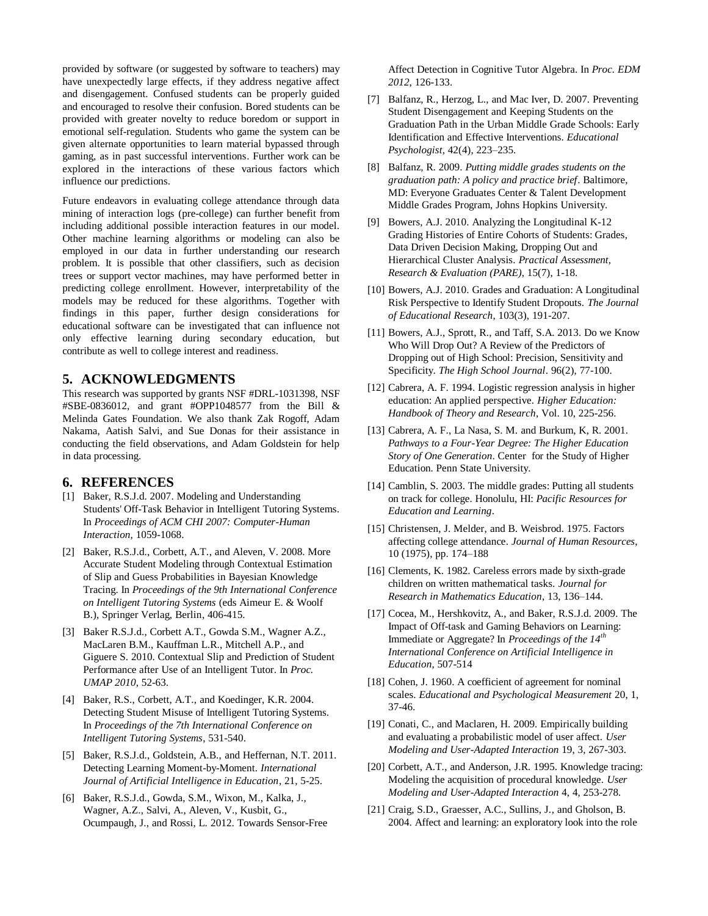provided by software (or suggested by software to teachers) may have unexpectedly large effects, if they address negative affect and disengagement. Confused students can be properly guided and encouraged to resolve their confusion. Bored students can be provided with greater novelty to reduce boredom or support in emotional self-regulation. Students who game the system can be given alternate opportunities to learn material bypassed through gaming, as in past successful interventions. Further work can be explored in the interactions of these various factors which influence our predictions.

Future endeavors in evaluating college attendance through data mining of interaction logs (pre-college) can further benefit from including additional possible interaction features in our model. Other machine learning algorithms or modeling can also be employed in our data in further understanding our research problem. It is possible that other classifiers, such as decision trees or support vector machines, may have performed better in predicting college enrollment. However, interpretability of the models may be reduced for these algorithms. Together with findings in this paper, further design considerations for educational software can be investigated that can influence not only effective learning during secondary education, but contribute as well to college interest and readiness.

#### **5. ACKNOWLEDGMENTS**

This research was supported by grants NSF #DRL-1031398, NSF #SBE-0836012, and grant #OPP1048577 from the Bill & Melinda Gates Foundation. We also thank Zak Rogoff, Adam Nakama, Aatish Salvi, and Sue Donas for their assistance in conducting the field observations, and Adam Goldstein for help in data processing.

#### **6. REFERENCES**

- [1] Baker, R.S.J.d. 2007. Modeling and Understanding Students' Off-Task Behavior in Intelligent Tutoring Systems. In *Proceedings of ACM CHI 2007: Computer-Human Interaction*, 1059-1068.
- [2] Baker, R.S.J.d., Corbett, A.T., and Aleven, V. 2008. More Accurate Student Modeling through Contextual Estimation of Slip and Guess Probabilities in Bayesian Knowledge Tracing. In *Proceedings of the 9th International Conference on Intelligent Tutoring Systems* (eds Aimeur E. & Woolf B.), Springer Verlag, Berlin, 406-415.
- [3] Baker R.S.J.d., Corbett A.T., Gowda S.M., Wagner A.Z., MacLaren B.M., Kauffman L.R., Mitchell A.P., and Giguere S. 2010. Contextual Slip and Prediction of Student Performance after Use of an Intelligent Tutor. In *Proc. UMAP 2010*, 52-63.
- [4] Baker, R.S., Corbett, A.T., and Koedinger, K.R. 2004. Detecting Student Misuse of Intelligent Tutoring Systems. In *Proceedings of the 7th International Conference on Intelligent Tutoring Systems*, 531-540.
- [5] Baker, R.S.J.d., Goldstein, A.B., and Heffernan, N.T. 2011. Detecting Learning Moment-by-Moment. *International Journal of Artificial Intelligence in Education*, 21, 5-25.
- [6] Baker, R.S.J.d., Gowda, S.M., Wixon, M., Kalka, J., Wagner, A.Z., Salvi, A., Aleven, V., Kusbit, G., Ocumpaugh, J., and Rossi, L. 2012. Towards Sensor-Free

Affect Detection in Cognitive Tutor Algebra. In *Proc. EDM 2012*, 126-133.

- [7] Balfanz, R., Herzog, L., and Mac Iver, D. 2007. Preventing Student Disengagement and Keeping Students on the Graduation Path in the Urban Middle Grade Schools: Early Identification and Effective Interventions. *Educational Psychologist*, 42(4), 223–235.
- [8] Balfanz, R. 2009. *Putting middle grades students on the graduation path: A policy and practice brief*. Baltimore, MD: Everyone Graduates Center & Talent Development Middle Grades Program, Johns Hopkins University.
- [9] Bowers, A.J. 2010. Analyzing the Longitudinal K-12 Grading Histories of Entire Cohorts of Students: Grades, Data Driven Decision Making, Dropping Out and Hierarchical Cluster Analysis. *Practical Assessment, Research & Evaluation (PARE)*, 15(7), 1-18.
- [10] Bowers, A.J. 2010. Grades and Graduation: A Longitudinal Risk Perspective to Identify Student Dropouts. *The Journal of Educational Research*, 103(3), 191-207.
- [11] Bowers, A.J., Sprott, R., and Taff, S.A. 2013. Do we Know Who Will Drop Out? A Review of the Predictors of Dropping out of High School: Precision, Sensitivity and Specificity. *The High School Journal*. 96(2), 77-100.
- [12] Cabrera, A. F. 1994. Logistic regression analysis in higher education: An applied perspective. *Higher Education: Handbook of Theory and Research*, Vol. 10, 225-256.
- [13] Cabrera, A. F., La Nasa, S. M. and Burkum, K. R. 2001. *Pathways to a Four-Year Degree: The Higher Education Story of One Generation*. Center for the Study of Higher Education. Penn State University.
- [14] Camblin, S. 2003. The middle grades: Putting all students on track for college. Honolulu, HI: *Pacific Resources for Education and Learning*.
- [15] Christensen, J. Melder, and B. Weisbrod. 1975. Factors affecting college attendance. *Journal of Human Resources*, 10 (1975), pp. 174–188
- [16] Clements, K. 1982. Careless errors made by sixth-grade children on written mathematical tasks. *Journal for Research in Mathematics Education*, 13, 136–144.
- [17] Cocea, M., Hershkovitz, A., and Baker, R.S.J.d. 2009. The Impact of Off-task and Gaming Behaviors on Learning: Immediate or Aggregate? In *Proceedings of the 14th International Conference on Artificial Intelligence in Education*, 507-514
- [18] Cohen, J. 1960. A coefficient of agreement for nominal scales. *Educational and Psychological Measurement* 20, 1, 37-46.
- [19] Conati, C., and Maclaren, H. 2009. Empirically building and evaluating a probabilistic model of user affect. *User Modeling and User-Adapted Interaction* 19, 3, 267-303.
- [20] Corbett, A.T., and Anderson, J.R. 1995. Knowledge tracing: Modeling the acquisition of procedural knowledge. *User Modeling and User-Adapted Interaction* 4, 4, 253-278.
- [21] Craig, S.D., Graesser, A.C., Sullins, J., and Gholson, B. 2004. Affect and learning: an exploratory look into the role